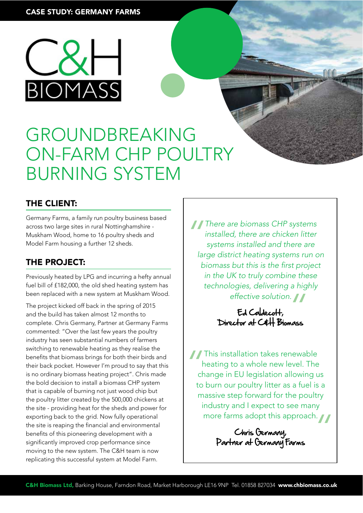

# GROUNDBREAKING ON-FARM CHP POULTRY BURNING SYSTEM

## THE CLIENT:

Germany Farms, a family run poultry business based across two large sites in rural Nottinghamshire - Muskham Wood, home to 16 poultry sheds and Model Farm housing a further 12 sheds.

# THE PROJECT:

Previously heated by LPG and incurring a hefty annual fuel bill of £182,000, the old shed heating system has been replaced with a new system at Muskham Wood.

The project kicked off back in the spring of 2015 and the build has taken almost 12 months to complete. Chris Germany, Partner at Germany Farms commented: "Over the last few years the poultry industry has seen substantial numbers of farmers switching to renewable heating as they realise the benefts that biomass brings for both their birds and their back pocket. However I'm proud to say that this is no ordinary biomass heating project". Chris made the bold decision to install a biomass CHP system that is capable of burning not just wood chip but the poultry litter created by the 500,000 chickens at the site - providing heat for the sheds and power for exporting back to the grid. Now fully operational the site is reaping the fnancial and environmental benefts of this pioneering development with a signifcantly improved crop performance since moving to the new system. The C&H team is now replicating this successful system at Model Farm.

There are biomass CHP systems<br>
installed, there are chicken litter<br>
systems installed and there are<br>
large district heating systems run c installed, there are chicken litter systems installed and there are large district heating systems run on biomass but this is the first project in the UK to truly combine these technologies, delivering a highly effective solution.  $\blacksquare$ 

Ed Caldecott, effective solution.<br>Ed Caldecoff,<br>Director at C&H Biomass

This installation takes renewable<br>heating to a whole new level. The<br>change in EU legislation allowing u<br>to burn our poultry litter as a fuel is heating to a whole new level. The change in EU legislation allowing us to burn our poultry litter as a fuel is a massive step forward for the poultry industry and I expect to see many